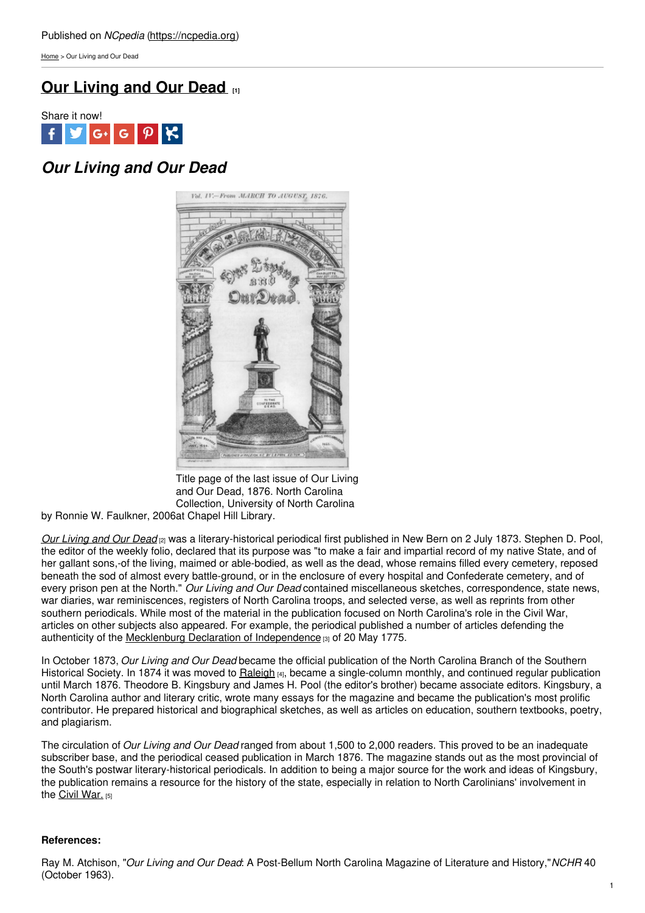[Home](https://ncpedia.org/) > Our Living and Our Dead

# **Our [Living](https://ncpedia.org/our-living-and-our-dead) and Our Dead [1]**



## *Our Living and Our Dead*



Title page of the last issue of Our Living and Our Dead, 1876. North Carolina Collection, University of North Carolina

by Ronnie W. Faulkner, 2006 at Chapel Hill Library.

*Our [Living](http://chroniclingamerica.loc.gov/lccn/sn84026636/) and Our Dead* [2] was a literary-historical periodical first published in New Bern on 2 July 1873. Stephen D. Pool, the editor of the weekly folio, declared that its purpose was "to make a fair and impartial record of my native State, and of her gallant sons,-of the living, maimed or able-bodied, as well as the dead, whose remains filled every cemetery, reposed beneath the sod of almost every battle-ground, or in the enclosure of every hospital and Confederate cemetery, and of every prison pen at the North." *Our Living and Our Dead* contained miscellaneous sketches, correspondence, state news, war diaries, war reminiscences, registers of North Carolina troops, and selected verse, as well as reprints from other southern periodicals. While most of the material in the publication focused on North Carolina's role in the Civil War, articles on other subjects also appeared. For example, the periodical published a number of articles defending the authenticity of the Mecklenburg Declaration of [Independence](https://ncpedia.org/mecklenburg-declaration) [3] of 20 May 1775.

In October 1873, *Our Living and Our Dead* became the official publication of the North Carolina Branch of the Southern Historical Society. In 1874 it was moved to [Raleigh](https://ncpedia.org/geography/raleigh) [4], became a single-column monthly, and continued regular publication until March 1876. Theodore B. Kingsbury and James H. Pool (the editor's brother) became associate editors. Kingsbury, a North Carolina author and literary critic, wrote many essays for the magazine and became the publication's most prolific contributor. He prepared historical and biographical sketches, as well as articles on education, southern textbooks, poetry, and plagiarism.

The circulation of *Our Living and Our Dead* ranged from about 1,500 to 2,000 readers. This proved to be an inadequate subscriber base, and the periodical ceased publication in March 1876. The magazine stands out as the most provincial of the South's postwar literary-historical periodicals. In addition to being a major source for the work and ideas of Kingsbury, the publication remains a resource for the history of the state, especially in relation to North Carolinians' involvement in the Civil [War.](https://ncpedia.org/civil-war) [5]

### **References:**

Ray M. Atchison, "*Our Living and Our Dead*: A Post-Bellum North Carolina Magazine of Literature and History,"*NCHR* 40 (October 1963).